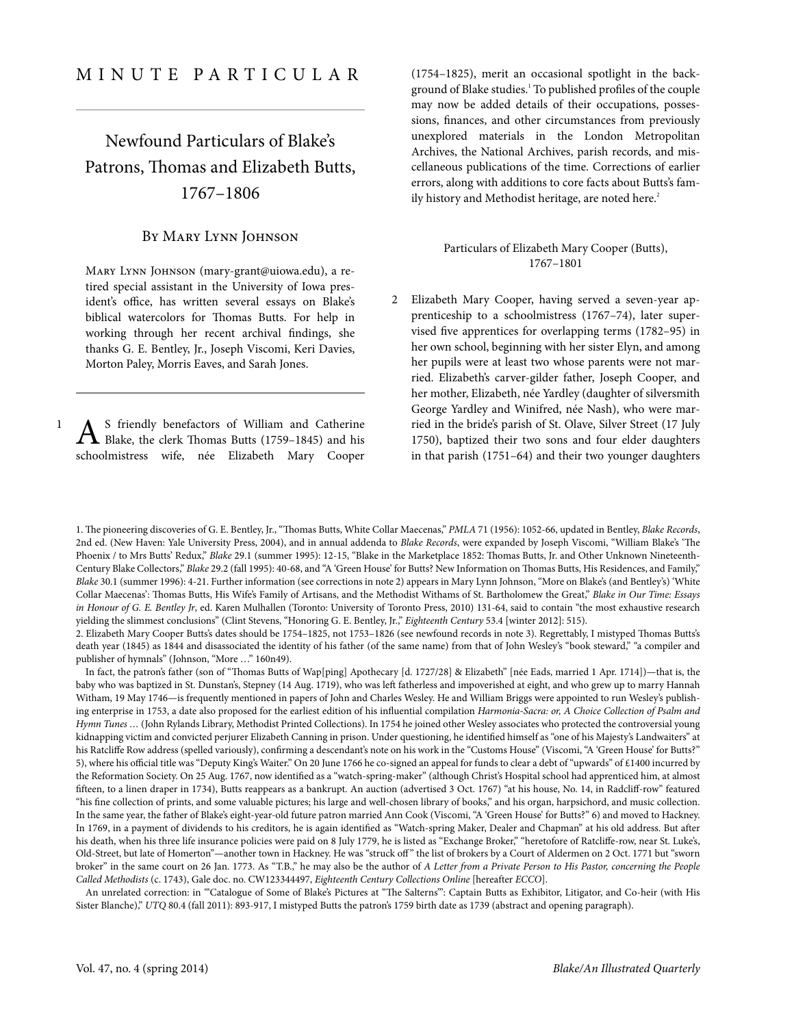## <span id="page-0-0"></span>Newfound Particulars of Blake's Patrons, Thomas and Elizabeth Butts, 1767–1806

## By Mary Lynn Johnson

Mary Lynn Johnson [\(mary-grant@uiowa.edu](mailto:mary-grant@uiowa.edu)), a retired special assistant in the University of Iowa president's office, has written several essays on Blake's biblical watercolors for Thomas Butts. For help in working through her recent archival findings, she thanks G. E. Bentley, Jr., Joseph Viscomi, Keri Davies, Morton Paley, Morris Eaves, and Sarah Jones.

A S friendly benefactors of William and Catherine<br>Blake, the clerk Thomas Butts (1759–1845) and his S friendly benefactors of William and Catherine schoolmistress wife, née Elizabeth Mary Cooper

1

(1754–1825), merit an occasional spotlight in the background of Blake studies.<sup>1</sup> To published profiles of the couple may now be added details of their occupations, possessions, finances, and other circumstances from previously unexplored materials in the London Metropolitan Archives, the National Archives, parish records, and miscellaneous publications of the time. Corrections of earlier errors, along with additions to core facts about Butts's family history and Methodist heritage, are noted here.<sup>2</sup>

## Particulars of Elizabeth Mary Cooper (Butts), 1767–1801

Elizabeth Mary Cooper, having served a seven-year ap-2 prenticeship to a schoolmistress (1767–74), later supervised five apprentices for overlapping terms (1782–95) in her own school, beginning with her sister Elyn, and among her pupils were at least two whose parents were not married. Elizabeth's carver-gilder father, Joseph Cooper, and her mother, Elizabeth, née Yardley (daughter of silversmith George Yardley and Winifred, née Nash), who were married in the bride's parish of St. Olave, Silver Street (17 July 1750), baptized their two sons and four elder daughters in that parish (1751–64) and their two younger daughters

1. The pioneering discoveries of G. E. Bentley, Jr., "Thomas Butts, White Collar Maecenas," PMLA 71 (1956): 1052-66, updated in Bentley, Blake Records, 2nd ed. (New Haven: Yale University Press, 2004), and in annual [addenda](http://blake.lib.rochester.edu/blakeojs/public/journals/2/BonusFeatures/Addenda/BR2addenda.htm) to Blake Records, were expanded by Joseph Viscomi, "William Blake's 'The Phoenix / to Mrs Butts' Redux," Blake 29.1 (summer 1995): 12-15, "Blake in the Marketplace 1852: Thomas Butts, Jr. and Other Unknown Nineteenth-Century Blake Collectors," Blake 29.2 (fall 1995): 40-68, and "A 'Green House' for Butts? New Information on Thomas Butts, His Residences, and Family," Blake 30.1 (summer 1996): 4-21. Further information (see corrections in [note](#page-0-0) 2) appears in Mary Lynn Johnson, "More on Blake's (and Bentley's) 'White Collar Maecenas': Thomas Butts, His Wife's Family of Artisans, and the Methodist Withams of St. Bartholomew the Great," Blake in Our Time: Essays in Honour of G. E. Bentley Jr, ed. Karen Mulhallen (Toronto: University of Toronto Press, 2010) 131-64, said to contain "the most exhaustive research yielding the slimmest conclusions" (Clint Stevens, "Honoring G. E. Bentley, Jr.," Eighteenth Century 53.4 [winter 2012]: 515).

2. Elizabeth Mary Cooper Butts's dates should be 1754–1825, not 1753–1826 (see newfound records in [note](#page-1-0) 3). Regrettably, I mistyped Thomas Butts's death year (1845) as 1844 and disassociated the identity of his father (of the same name) from that of John Wesley's "book steward," "a compiler and publisher of hymnals" (Johnson, "More …" 160n49).

In fact, the patron's father (son of "Thomas Butts of Wap[ping] Apothecary [d. 1727/28] & Elizabeth" [née Eads, married 1 Apr. 1714])—that is, the baby who was baptized in St. Dunstan's, Stepney (14 Aug. 1719), who was left fatherless and impoverished at eight, and who grew up to marry Hannah Witham, 19 May 1746—is frequently mentioned in papers of John and Charles Wesley. He and William Briggs were appointed to run Wesley's publishing enterprise in 1753, a date also proposed for the earliest edition of his influential compilation Harmonia-Sacra: or, A Choice Collection of Psalm and Hymn Tunes ... (John Rylands Library, Methodist Printed Collections). In 1754 he joined other Wesley associates who protected the controversial young kidnapping victim and convicted perjurer Elizabeth Canning in prison. Under questioning, he identified himself as "one of his Majesty's Landwaiters" at his Ratcliffe Row address (spelled variously), confirming a descendant's note on his work in the "Customs House" (Viscomi, "A 'Green House' for Butts?" 5), where his official title was "Deputy King's Waiter." On 20 June 1766 he co-signed an appeal for funds to clear a debt of "upwards" of £1400 incurred by the Reformation Society. On 25 Aug. 1767, now identified as a "watch-spring-maker" (although Christ's Hospital school had apprenticed him, at almost fifteen, to a linen draper in 1734), Butts reappears as a bankrupt. An auction (advertised 3 Oct. 1767) "at his house, No. 14, in Radcliff-row" featured "his fine collection of prints, and some valuable pictures; his large and well-chosen library of books," and his organ, harpsichord, and music collection. In the same year, the father of Blake's eight-year-old future patron married Ann Cook (Viscomi, "A 'Green House' for Butts?" 6) and moved to Hackney. In 1769, in a payment of dividends to his creditors, he is again identified as "Watch-spring Maker, Dealer and Chapman" at his old address. But after his death, when his three life insurance policies were paid on 8 July 1779, he is listed as "Exchange Broker," "heretofore of Ratcliffe-row, near St. Luke's, Old-Street, but late of Homerton"—another town in Hackney. He was "struck off" the list of brokers by a Court of Aldermen on 2 Oct. 1771 but "sworn broker" in the same court on 26 Jan. 1773. As "T.B.," he may also be the author of A Letter from a Private Person to His Pastor, concerning the People Called Methodists (c. 1743), Gale doc. no. CW123344497, Eighteenth Century Collections Online [hereafter ECCO].

An unrelated correction: in "'Catalogue of Some of Blake's Pictures at "The Salterns"': Captain Butts as Exhibitor, Litigator, and Co-heir (with His Sister Blanche)," UTQ 80.4 (fall 2011): 893-917, I mistyped Butts the patron's 1759 birth date as 1739 (abstract and opening paragraph).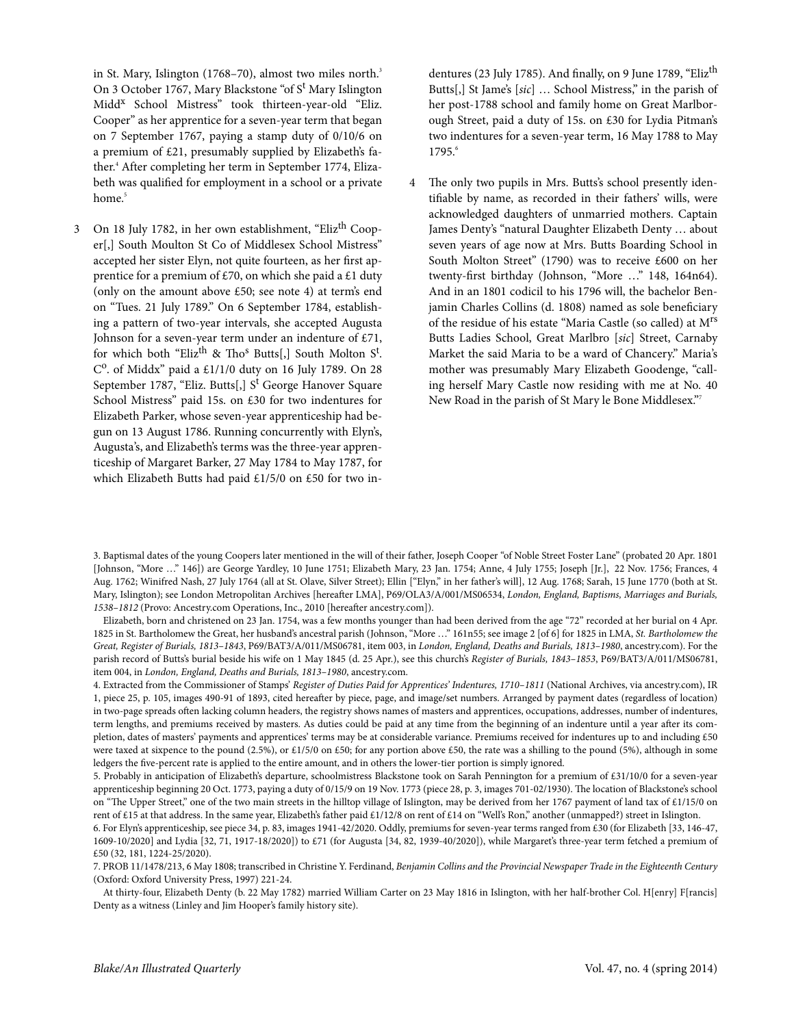<span id="page-1-0"></span>in St. Mary, Islington (1768–70), almost two miles north.<sup>3</sup> On 3 October 1767, Mary Blackstone "of S<sup>t</sup> Mary Islington Midd<sup>x</sup> School Mistress" took thirteen-year-old "Eliz. Cooper" as her apprentice for a seven-year term that began on 7 September 1767, paying a stamp duty of 0/10/6 on a premium of £21, presumably supplied by Elizabeth's father. <sup>4</sup> After completing her term in September 1774, Elizabeth was qualified for employment in a school or a private home. 5

<span id="page-1-1"></span>3 On 18 July 1782, in her own establishment, "Eliz<sup>th</sup> Cooper[,] South Moulton St Co of Middlesex School Mistress" accepted her sister Elyn, not quite fourteen, as her first apprentice for a premium of £70, on which she paid a £1 duty (only on the amount above £50; see [note](#page-1-1) 4) at term's end on "Tues. 21 July 1789." On 6 September 1784, establishing a pattern of two-year intervals, she accepted Augusta Johnson for a seven-year term under an indenture of £71, for which both "Eliz<sup>th</sup> & Tho<sup>s</sup> Butts[,] South Molton S<sup>t</sup>. C<sup>o</sup>. of Middx" paid a £1/1/0 duty on 16 July 1789. On 28 September 1787, "Eliz. Butts[,] S<sup>t</sup> George Hanover Square School Mistress" paid 15s. on £30 for two indentures for Elizabeth Parker, whose seven-year apprenticeship had begun on 13 August 1786. Running concurrently with Elyn's, Augusta's, and Elizabeth's terms was the three-year apprenticeship of Margaret Barker, 27 May 1784 to May 1787, for which Elizabeth Butts had paid £1/5/0 on £50 for two indentures (23 July 1785). And finally, on 9 June 1789, "Eliz<sup>th</sup> Butts[,] St Jame's [sic] … School Mistress," in the parish of her post-1788 school and family home on Great Marlborough Street, paid a duty of 15s. on £30 for Lydia Pitman's two indentures for a seven-year term, 16 May 1788 to May 1795.<sup>6</sup>

The only two pupils in Mrs. Butts's school presently identifiable by name, as recorded in their fathers' wills, were acknowledged daughters of unmarried mothers. Captain James Denty's "natural Daughter Elizabeth Denty … about seven years of age now at Mrs. Butts Boarding School in South Molton Street" (1790) was to receive £600 on her twenty-first birthday (Johnson, "More …" 148, 164n64). And in an 1801 codicil to his 1796 will, the bachelor Benjamin Charles Collins (d. 1808) named as sole beneficiary of the residue of his estate "Maria Castle (so called) at Mrs Butts Ladies School, Great Marlbro [sic] Street, Carnaby Market the said Maria to be a ward of Chancery." Maria's mother was presumably Mary Elizabeth Goodenge, "calling herself Mary Castle now residing with me at No. 40 New Road in the parish of St Mary le Bone Middlesex." 7 4

3. Baptismal dates of the young Coopers later mentioned in the will of their father, Joseph Cooper "of Noble Street Foster Lane" (probated 20 Apr. 1801 [Johnson, "More …" 146]) are George Yardley, 10 June 1751; Elizabeth Mary, 23 Jan. 1754; Anne, 4 July 1755; Joseph [Jr.], 22 Nov. 1756; Frances, 4 Aug. 1762; Winifred Nash, 27 July 1764 (all at St. Olave, Silver Street); Ellin ["Elyn," in her father's will], 12 Aug. 1768; Sarah, 15 June 1770 (both at St. Mary, Islington); see London Metropolitan Archives [hereafter LMA], P69/OLA3/A/001/MS06534, London, England, Baptisms, [Marriages](http://search.ancestry.com/search/db.aspx?dbid=1624) and Burials, [1538–1812](http://search.ancestry.com/search/db.aspx?dbid=1624) (Provo: Ancestry.com Operations, Inc., 2010 [hereafter [ancestry.com](http://www.ancestry.com)]).

Elizabeth, born and christened on 23 Jan. 1754, was a few months younger than had been derived from the age "72" recorded at her burial on 4 Apr. 1825 in St. Bartholomew the Great, her husband's ancestral parish (Johnson, "More ..." 161n55; see image 2 [of 6] for 1825 in LMA, St. Bartholomew the Great, Register of Burials, 1813–1843, P69/BAT3/A/011/MS06781, item 003, in London, England, Deaths and Burials, [1813–1980](http://search.ancestry.com/search/db.aspx?dbid=1559), ancestry.com). For the parish record of Butts's burial beside his wife on 1 May 1845 (d. 25 Apr.), see this church's Register of Burials, 1843–1853, P69/BAT3/A/011/MS06781, item 004, in [London, England, Deaths and Burials, 1813–1980](http://search.ancestry.com/search/db.aspx?dbid=1559), ancestry.com.

4. Extracted from the Commissioner of Stamps' Register of Duties Paid for [Apprentices'](http://search.ancestry.co.uk/search/db.aspx?dbid=1851) Indentures, 1710–1811 (National Archives, via ancestry.com), IR 1, piece 25, p. 105, images 490-91 of 1893, cited hereafter by piece, page, and image/set numbers. Arranged by payment dates (regardless of location) in two-page spreads often lacking column headers, the registry shows names of masters and apprentices, occupations, addresses, number of indentures, term lengths, and premiums received by masters. As duties could be paid at any time from the beginning of an indenture until a year after its completion, dates of masters' payments and apprentices' terms may be at considerable variance. Premiums received for indentures up to and including £50 were taxed at sixpence to the pound (2.5%), or £1/5/0 on £50; for any portion above £50, the rate was a shilling to the pound (5%), although in some ledgers the five-percent rate is applied to the entire amount, and in others the lower-tier portion is simply ignored.

5. Probably in anticipation of Elizabeth's departure, schoolmistress Blackstone took on Sarah Pennington for a premium of £31/10/0 for a seven-year apprenticeship beginning 20 Oct. 1773, paying a duty of 0/15/9 on 19 Nov. 1773 (piece 28, p. 3, images 701-02/1930). The location of Blackstone's school on "The Upper Street," one of the two main streets in the hilltop village of Islington, may be derived from her 1767 payment of land tax of £1/15/0 on rent of £15 at that address. In the same year, Elizabeth's father paid £1/12/8 on rent of £14 on "Well's Ron," another (unmapped?) street in Islington.

6. For Elyn's apprenticeship, see piece 34, p. 83, images 1941-42/2020. Oddly, premiums for seven-year terms ranged from £30 (for Elizabeth [33, 146-47, 1609-10/2020] and Lydia [32, 71, 1917-18/2020]) to £71 (for Augusta [34, 82, 1939-40/2020]), while Margaret's three-year term fetched a premium of £50 (32, 181, 1224-25/2020).

7. PROB 11/1478/213, 6 May 1808; transcribed in Christine Y. Ferdinand, Benjamin Collins and the Provincial Newspaper Trade in the Eighteenth Century (Oxford: Oxford University Press, 1997) 221-24.

At thirty-four, Elizabeth Denty (b. 22 May 1782) married William Carter on 23 May 1816 in Islington, with her half-brother Col. H[enry] F[rancis] Denty as a witness [\(Linley and Jim Hooper's family history site\)](http://www.linleyfh.com/oursecondsite-p).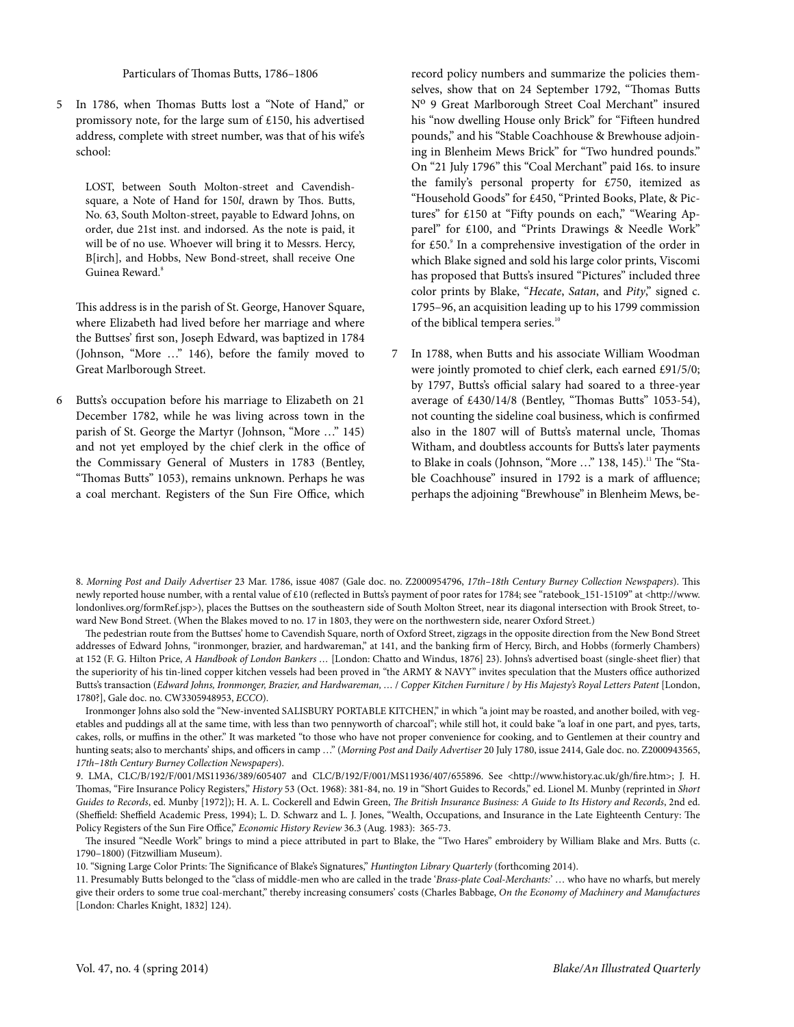## Particulars of Thomas Butts, 1786–1806

In 1786, when Thomas Butts lost a "Note of Hand," or 5 promissory note, for the large sum of £150, his advertised address, complete with street number, was that of his wife's school:

LOST, between South Molton-street and Cavendishsquare, a Note of Hand for 150l, drawn by Thos. Butts, No. 63, South Molton-street, payable to Edward Johns, on order, due 21st inst. and indorsed. As the note is paid, it will be of no use. Whoever will bring it to Messrs. Hercy, B[irch], and Hobbs, New Bond-street, shall receive One Guinea Reward. 8

This address is in the parish of St. George, Hanover Square, where Elizabeth had lived before her marriage and where the Buttses' first son, Joseph Edward, was baptized in 1784 (Johnson, "More …" 146), before the family moved to Great Marlborough Street.

Butts's occupation before his marriage to Elizabeth on 21 6 December 1782, while he was living across town in the parish of St. George the Martyr (Johnson, "More …" 145) and not yet employed by the chief clerk in the office of the Commissary General of Musters in 1783 (Bentley, "Thomas Butts" 1053), remains unknown. Perhaps he was a coal merchant. Registers of the Sun Fire Office, which

record policy numbers and summarize the policies themselves, show that on 24 September 1792, "Thomas Butts Nº 9 Great Marlborough Street Coal Merchant" insured his "now dwelling House only Brick" for "Fifteen hundred pounds," and his "Stable Coachhouse & Brewhouse adjoining in Blenheim Mews Brick" for "Two hundred pounds." On "21 July 1796" this "Coal Merchant" paid 16s. to insure the family's personal property for £750, itemized as "Household Goods" for £450, "Printed Books, Plate, & Pictures" for £150 at "Fifty pounds on each," "Wearing Apparel" for £100, and "Prints Drawings & Needle Work" for £50.<sup>9</sup> In a comprehensive investigation of the order in which Blake signed and sold his large color prints, Viscomi has proposed that Butts's insured "Pictures" included three color prints by Blake, "Hecate, Satan, and Pity," signed c. 1795–96, an acquisition leading up to his 1799 commission of the biblical tempera series.<sup>10</sup>

In 1788, when Butts and his associate William Woodman were jointly promoted to chief clerk, each earned £91/5/0; by 1797, Butts's official salary had soared to a three-year average of £430/14/8 (Bentley, "Thomas Butts" 1053-54), not counting the sideline coal business, which is confirmed also in the 1807 will of Butts's maternal uncle, Thomas Witham, and doubtless accounts for Butts's later payments to Blake in coals (Johnson, "More ..." 138, 145).<sup>11</sup> The "Stable Coachhouse" insured in 1792 is a mark of affluence; perhaps the adjoining "Brewhouse" in Blenheim Mews, be-7

8. Morning Post and Daily Advertiser 23 Mar. 1786, issue 4087 (Gale doc. no. Z2000954796, 17th–18th Century Burney Collection Newspapers). This newly reported house number, with a rental value of £10 (reflected in Butts's payment of poor rates for 1784; see "[ratebook\\_151-15109"](http://www.londonlives.org/browse.jsp?div=ratebook_151-15109&submit.x=0&submit.y=0&submit=Search) at <[http://www.](http://www.londonlives.org/formRef.jsp) [londonlives.org/formRef.jsp](http://www.londonlives.org/formRef.jsp)>), places the Buttses on the southeastern side of South Molton Street, near its diagonal intersection with Brook Street, toward New Bond Street. (When the Blakes moved to no. 17 in 1803, they were on the northwestern side, nearer Oxford Street.)

The pedestrian route from the Buttses' home to Cavendish Square, north of Oxford Street, zigzags in the opposite direction from the New Bond Street addresses of Edward Johns, "ironmonger, brazier, and hardwareman," at 141, and the banking firm of Hercy, Birch, and Hobbs (formerly Chambers) at 152 (F. G. Hilton Price, A [Handbook](http://books.google.com/books?id=IZIBAAAAQAAJ&pg=PA23#v=onepage&q&f=false) of London Bankers ... [London: Chatto and Windus, 1876] 23). Johns's advertised boast (single-sheet flier) that the superiority of his tin-lined copper kitchen vessels had been proved in "the ARMY & NAVY" invites speculation that the Musters office authorized Butts's transaction (Edward Johns, Ironmonger, Brazier, and Hardwareman, … / Copper Kitchen Furniture / by His Majesty's Royal Letters Patent [London, 1780?], Gale doc. no. CW3305948953, ECCO).

Ironmonger Johns also sold the "New-invented SALISBURY PORTABLE KITCHEN," in which "a joint may be roasted, and another boiled, with vegetables and puddings all at the same time, with less than two pennyworth of charcoal"; while still hot, it could bake "a loaf in one part, and pyes, tarts, cakes, rolls, or muffins in the other." It was marketed "to those who have not proper convenience for cooking, and to Gentlemen at their country and hunting seats; also to merchants' ships, and officers in camp ..." (Morning Post and Daily Advertiser 20 July 1780, issue 2414, Gale doc. no. Z2000943565, 17th–18th Century Burney Collection Newspapers).

9. LMA, CLC/B/192/F/001/MS11936/389/605407 and CLC/B/192/F/001/MS11936/407/655896. See [<http://www.history.ac.uk/gh/fire.htm>](http://www.history.ac.uk/gh/fire.htm); J. H. Thomas, "Fire Insurance Policy Registers," History 53 (Oct. 1968): 381-84, no. 19 in "Short Guides to Records," ed. Lionel M. Munby (reprinted in Short Guides to Records, ed. Munby [1972]); H. A. L. Cockerell and Edwin Green, The British Insurance Business: A Guide to Its History and Records, 2nd ed. (Sheffield: Sheffield Academic Press, 1994); L. D. Schwarz and L. J. Jones, "Wealth, Occupations, and Insurance in the Late Eighteenth Century: The Policy Registers of the Sun Fire Office," Economic History Review 36.3 (Aug. 1983): 365-73.

The insured "Needle Work" brings to mind a piece attributed in part to Blake, the "Two [Hares"](http://data.fitzmuseum.cam.ac.uk/id/object/118383) embroidery by William Blake and Mrs. Butts (c. 1790–1800) (Fitzwilliam Museum).

10. "Signing Large Color Prints: The Significance of Blake's Signatures," Huntington Library Quarterly (forthcoming 2014).

11. Presumably Butts belonged to the "class of middle-men who are called in the trade 'Brass-plate Coal-Merchants:' ... who have no wharfs, but merely give their orders to some true coal-merchant," thereby increasing consumers' costs (Charles Babbage, On the Economy of Machinery and [Manufactures](http://books.google.com/books?id=4QWZq4FDoH4C&pg=PA124#v=onepage&q&f=false) [London: Charles Knight, 1832] 124).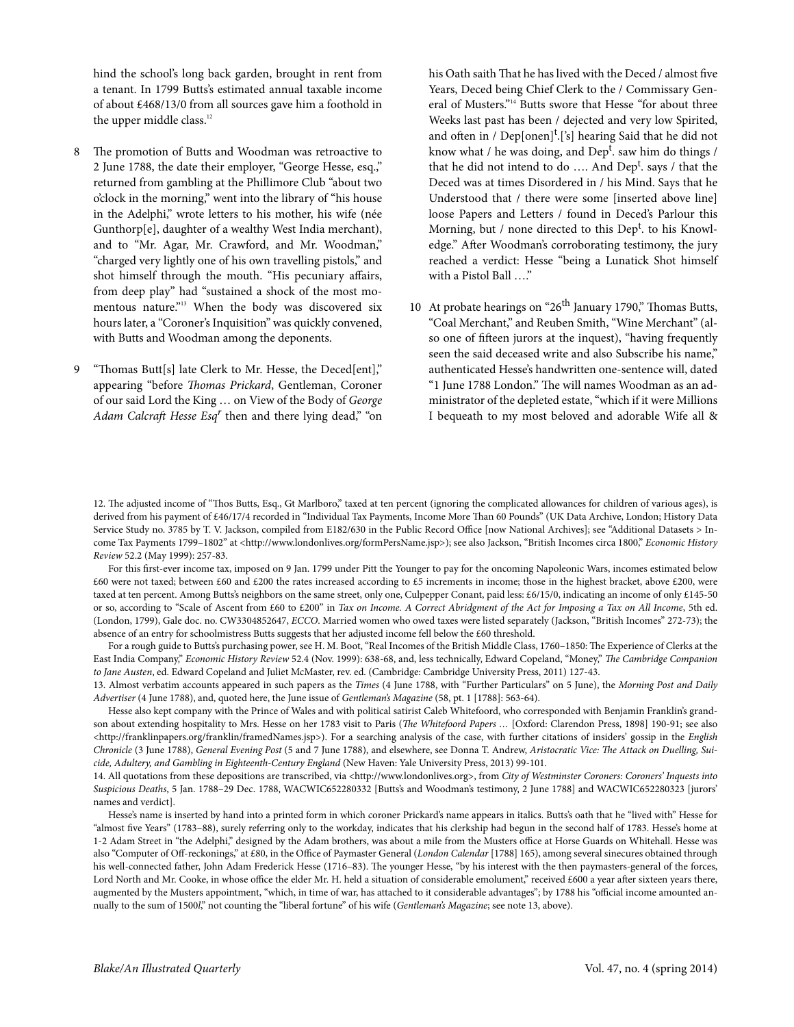hind the school's long back garden, brought in rent from a tenant. In 1799 Butts's estimated annual taxable income of about £468/13/0 from all sources gave him a foothold in the upper middle class.<sup>12</sup>

- The promotion of Butts and Woodman was retroactive to 2 June 1788, the date their employer, "George Hesse, esq.," returned from gambling at the Phillimore Club "about two o'clock in the morning," went into the library of "his house in the Adelphi," wrote letters to his mother, his wife (née Gunthorp[e], daughter of a wealthy West India merchant), and to "Mr. Agar, Mr. Crawford, and Mr. Woodman," "charged very lightly one of his own travelling pistols," and shot himself through the mouth. "His pecuniary affairs, from deep play" had "sustained a shock of the most momentous nature."<sup>3</sup> When the body was discovered six hours later, a "Coroner's Inquisition" was quickly convened, with Butts and Woodman among the deponents. 8
- <span id="page-3-0"></span>"Thomas Butt[s] late Clerk to Mr. Hesse, the Deced[ent]," appearing "before Thomas Prickard, Gentleman, Coroner of our said Lord the King … on View of the Body of George Adam Calcraft Hesse Esq<sup>r</sup> then and there lying dead," "on 9

his Oath saith That he has lived with the Deced / almost five Years, Deced being Chief Clerk to the / Commissary General of Musters." <sup>14</sup> Butts swore that Hesse "for about three Weeks last past has been / dejected and very low Spirited, and often in / Dep[onen]<sup>t</sup>.['s] hearing Said that he did not know what / he was doing, and Dep<sup>t</sup>. saw him do things / that he did not intend to do .... And Dep<sup>t</sup>. says / that the Deced was at times Disordered in / his Mind. Says that he Understood that / there were some [inserted above line] loose Papers and Letters / found in Deced's Parlour this Morning, but / none directed to this Dep<sup>t</sup>. to his Knowledge." After Woodman's corroborating testimony, the jury reached a verdict: Hesse "being a Lunatick Shot himself with a Pistol Ball …."

10 At probate hearings on "26<sup>th</sup> January 1790," Thomas Butts, "Coal Merchant," and Reuben Smith, "Wine Merchant" (also one of fifteen jurors at the inquest), "having frequently seen the said deceased write and also Subscribe his name," authenticated Hesse's handwritten one-sentence will, dated "1 June 1788 London." The will names Woodman as an administrator of the depleted estate,"which if it were Millions I bequeath to my most beloved and adorable Wife all &

For this first-ever income tax, imposed on 9 Jan. 1799 under Pitt the Younger to pay for the oncoming Napoleonic Wars, incomes estimated below £60 were not taxed; between £60 and £200 the rates increased according to £5 increments in income; those in the highest bracket, above £200, were taxed at ten percent. Among Butts's neighbors on the same street, only one, Culpepper Conant, paid less: £6/15/0, indicating an income of only £145-50 or so, according to "Scale of Ascent from £60 to £200" in Tax on Income. A Correct Abridgment of the Act for Imposing a Tax on All Income, 5th ed. (London, 1799), Gale doc. no. CW3304852647, ECCO. Married women who owed taxes were listed separately (Jackson, "British Incomes" 272-73); the absence of an entry for schoolmistress Butts suggests that her adjusted income fell below the £60 threshold.

For a rough guide to Butts's purchasing power, see H. M. Boot, "Real Incomes of the British Middle Class, 1760-1850: The Experience of Clerks at the East India Company," Economic History Review 52.4 (Nov. 1999): 638-68, and, less technically, Edward Copeland, "Money," The Cambridge Companion to Jane Austen, ed. Edward Copeland and Juliet McMaster, rev. ed. (Cambridge: Cambridge University Press, 2011) 127-43.

13. Almost verbatim accounts appeared in such papers as the Times (4 June 1788, with "Further Particulars" on 5 June), the Morning Post and Daily Advertiser (4 June 1788), and, quoted here, the June issue of [Gentleman's Magazine](http://books.google.com/books?id=xKZJAAAAYAAJ&pg=PA563#v=onepage&q&f=false) (58, pt. 1 [1788]: 563-64).

Hesse also kept company with the Prince of Wales and with political satirist Caleb Whitefoord, who corresponded with Benjamin Franklin's grand-son about extending hospitality to Mrs. Hesse on her 1783 visit to Paris (The [Whitefoord](http://books.google.com/books?id=xCAMAAAAYAAJ&pg=PA190#v=onepage&q&f=false) Papers ... [Oxford: Clarendon Press, 1898] 190-91; see also [<http://franklinpapers.org/franklin/framedNames.jsp](http://franklinpapers.org/franklin/framedNames.jsp)>). For a searching analysis of the case, with further citations of insiders' gossip in the English Chronicle (3 June 1788), General Evening Post (5 and 7 June 1788), and elsewhere, see Donna T. Andrew, Aristocratic Vice: The Attack on Duelling, Suicide, Adultery, and Gambling in Eighteenth-Century England (New Haven: Yale University Press, 2013) 99-101.

14. All quotations from these depositions are transcribed, via <<http://www.londonlives.org>>, from City of Westminster Coroners: Coroners' Inquests into Suspicious Deaths, 5 Jan. 1788–29 Dec. 1788, WACWIC652280332 [Butts's and Woodman's testimony, 2 June 1788] and WACWIC652280323 [jurors' names and verdict].

Hesse's name is inserted by hand into a printed form in which coroner Prickard's name appears in italics. Butts's oath that he "lived with" Hesse for "almost five Years" (1783–88), surely referring only to the workday, indicates that his clerkship had begun in the second half of 1783. Hesse's home at 1-2 Adam Street in "the Adelphi," designed by the Adam brothers, was about a mile from the Musters office at Horse Guards on Whitehall. Hesse was also "Computer of Off-reckonings," at £80, in the Office of Paymaster General (London [Calendar](http://books.google.com/books?id=YZZJAAAAYAAJ&lpg=PP7&ots=MC_haOd4Wn&pg=PA165#v=onepage&q&f=false) [1788] 165), among several sinecures obtained through his well-connected father, John Adam Frederick Hesse (1716–83). The younger Hesse, "by his interest with the then paymasters-general of the forces, Lord North and Mr. Cooke, in whose office the elder Mr. H. held a situation of considerable emolument," received £600 a year after sixteen years there, augmented by the Musters appointment, "which, in time of war, has attached to it considerable advantages"; by 1788 his "official income amounted annually to the sum of 1500l," not counting the "liberal fortune" of his wife (Gentleman's Magazine; see [note 13](#page-3-0), above).

<sup>12.</sup> The adjusted income of "Thos Butts, Esq., Gt Marlboro," taxed at ten percent (ignoring the complicated allowances for children of various ages), is derived from his payment of [£46/17/4](http://www.londonlives.org/browse.jsp?id=persNameahdsitp_58_5895&div=ahdsitp_58_5895#highlight) recorded in "Individual Tax Payments, Income More Than 60 Pounds" (UK Data Archive, London; History Data Service Study no. 3785 by T. V. Jackson, compiled from E182/630 in the Public Record Office [now National Archives]; see "Additional Datasets > In-come Tax Payments 1799-1802" at [<http://www.londonlives.org/formPersName.jsp](http://www.londonlives.org/formPersName.jsp)>); see also Jackson, "British Incomes circa 1800," Economic History Review 52.2 (May 1999): 257-83.